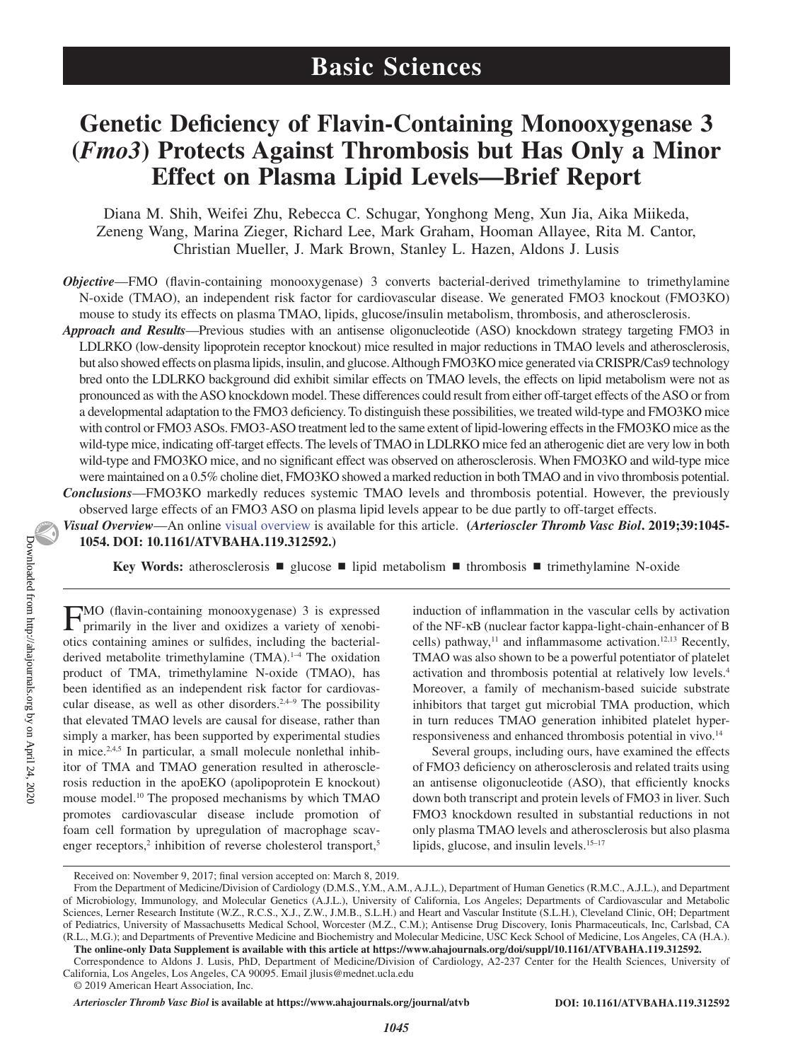# **Genetic Deficiency of Flavin-Containing Monooxygenase 3 (***Fmo3***) Protects Against Thrombosis but Has Only a Minor Effect on Plasma Lipid Levels—Brief Report**

Diana M. Shih, Weifei Zhu, Rebecca C. Schugar, Yonghong Meng, Xun Jia, Aika Miikeda, Zeneng Wang, Marina Zieger, Richard Lee, Mark Graham, Hooman Allayee, Rita M. Cantor, Christian Mueller, J. Mark Brown, Stanley L. Hazen, Aldons J. Lusis

*Objective*—FMO (flavin-containing monooxygenase) 3 converts bacterial-derived trimethylamine to trimethylamine N-oxide (TMAO), an independent risk factor for cardiovascular disease. We generated FMO3 knockout (FMO3KO) mouse to study its effects on plasma TMAO, lipids, glucose/insulin metabolism, thrombosis, and atherosclerosis.

*Approach and Results*—Previous studies with an antisense oligonucleotide (ASO) knockdown strategy targeting FMO3 in LDLRKO (low-density lipoprotein receptor knockout) mice resulted in major reductions in TMAO levels and atherosclerosis, but also showed effects on plasma lipids, insulin, and glucose. Although FMO3KO mice generated via CRISPR/Cas9 technology bred onto the LDLRKO background did exhibit similar effects on TMAO levels, the effects on lipid metabolism were not as pronounced as with the ASO knockdown model. These differences could result from either off-target effects of the ASO or from a developmental adaptation to the FMO3 deficiency. To distinguish these possibilities, we treated wild-type and FMO3KO mice with control or FMO3 ASOs. FMO3-ASO treatment led to the same extent of lipid-lowering effects in the FMO3KO mice as the wild-type mice, indicating off-target effects. The levels of TMAO in LDLRKO mice fed an atherogenic diet are very low in both wild-type and FMO3KO mice, and no significant effect was observed on atherosclerosis. When FMO3KO and wild-type mice were maintained on a 0.5% choline diet, FMO3KO showed a marked reduction in both TMAO and in vivo thrombosis potential. *Conclusions*—FMO3KO markedly reduces systemic TMAO levels and thrombosis potential. However, the previously observed large effects of an FMO3 ASO on plasma lipid levels appear to be due partly to off-target effects.

*Visual Overview*—An online [visual overview](https://www.ahajournals.org/doi/10.1161/ATVBAHA.119.312592
) is available for this article. **(***Arterioscler Thromb Vasc Biol***. 2019;39:1045- 1054. DOI: 10.1161/ATVBAHA.119.312592.)**

**Key Words:** atherosclerosis ■ glucose ■ lipid metabolism ■ thrombosis ■ trimethylamine N-oxide

FMO (flavin-containing monooxygenase) 3 is expressed primarily in the liver and oxidizes a variety of xenobiotics containing amines or sulfides, including the bacterialderived metabolite trimethylamine (TMA).<sup>1-4</sup> The oxidation product of TMA, trimethylamine N-oxide (TMAO), has been identified as an independent risk factor for cardiovascular disease, as well as other disorders.<sup>2,4–9</sup> The possibility that elevated TMAO levels are causal for disease, rather than simply a marker, has been supported by experimental studies in mice.<sup>2,4,5</sup> In particular, a small molecule nonlethal inhibitor of TMA and TMAO generation resulted in atherosclerosis reduction in the apoEKO (apolipoprotein E knockout) mouse model.10 The proposed mechanisms by which TMAO promotes cardiovascular disease include promotion of foam cell formation by upregulation of macrophage scavenger receptors,<sup>2</sup> inhibition of reverse cholesterol transport,<sup>5</sup>

induction of inflammation in the vascular cells by activation of the NF-κB (nuclear factor kappa-light-chain-enhancer of B cells) pathway,<sup>11</sup> and inflammasome activation.<sup>12,13</sup> Recently, TMAO was also shown to be a powerful potentiator of platelet activation and thrombosis potential at relatively low levels.4 Moreover, a family of mechanism-based suicide substrate inhibitors that target gut microbial TMA production, which in turn reduces TMAO generation inhibited platelet hyperresponsiveness and enhanced thrombosis potential in vivo.<sup>14</sup>

Several groups, including ours, have examined the effects of FMO3 deficiency on atherosclerosis and related traits using an antisense oligonucleotide (ASO), that efficiently knocks down both transcript and protein levels of FMO3 in liver. Such FMO3 knockdown resulted in substantial reductions in not only plasma TMAO levels and atherosclerosis but also plasma lipids, glucose, and insulin levels.<sup>15–17</sup>

*Arterioscler Thromb Vasc Biol* **is available at https://www.ahajournals.org/journal/atvb DOI: 10.1161/ATVBAHA.119.312592**

Received on: November 9, 2017; final version accepted on: March 8, 2019.

From the Department of Medicine/Division of Cardiology (D.M.S., Y.M., A.M., A.J.L.), Department of Human Genetics (R.M.C., A.J.L.), and Department of Microbiology, Immunology, and Molecular Genetics (A.J.L.), University of California, Los Angeles; Departments of Cardiovascular and Metabolic Sciences, Lerner Research Institute (W.Z., R.C.S., X.J., Z.W., J.M.B., S.L.H.) and Heart and Vascular Institute (S.L.H.), Cleveland Clinic, OH; Department of Pediatrics, University of Massachusetts Medical School, Worcester (M.Z., C.M.); Antisense Drug Discovery, Ionis Pharmaceuticals, Inc, Carlsbad, CA (R.L., M.G.); and Departments of Preventive Medicine and Biochemistry and Molecular Medicine, USC Keck School of Medicine, Los Angeles, CA (H.A.).

**The online-only Data Supplement is available with this article at https://www.ahajournals.org/doi/suppl/10.1161/ATVBAHA.119.312592.**

Correspondence to Aldons J. Lusis, PhD, Department of Medicine/Division of Cardiology, A2-237 Center for the Health Sciences, University of California, Los Angeles, Los Angeles, CA 90095. Email [jlusis@mednet.ucla.edu](mailto:jlusis@mednet.ucla.edu)

<sup>© 2019</sup> American Heart Association, Inc.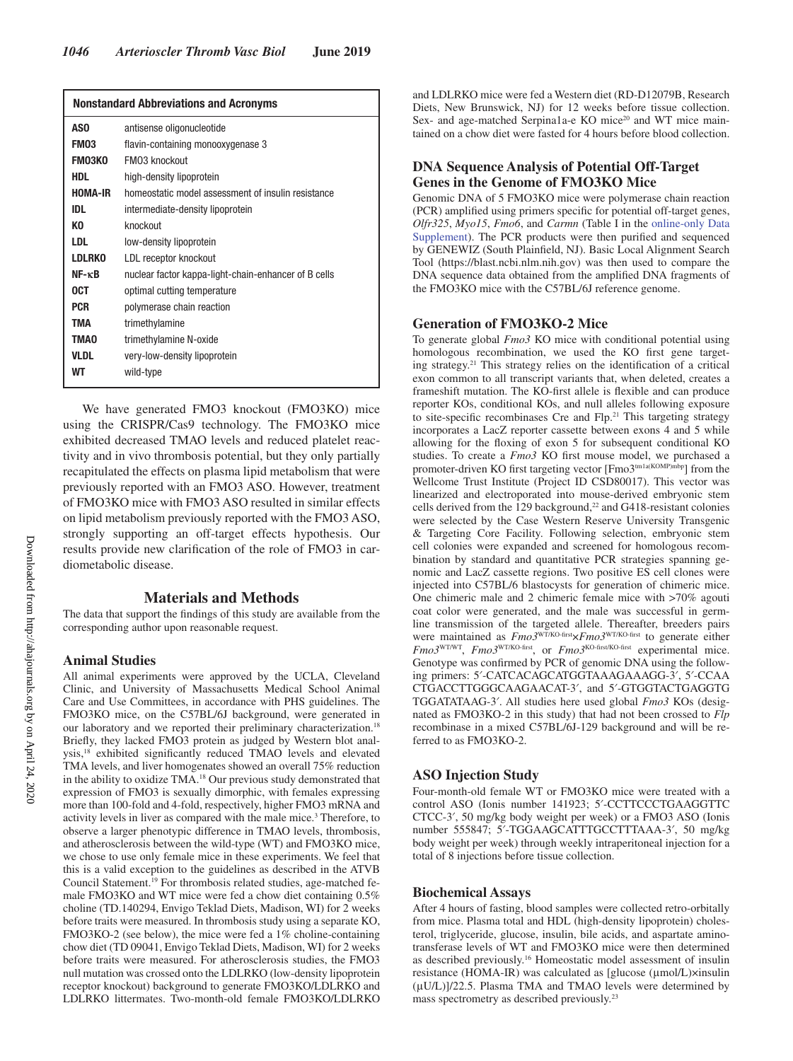| <b>Nonstandard Abbreviations and Acronyms</b> |                                                      |  |  |
|-----------------------------------------------|------------------------------------------------------|--|--|
| AS <sub>0</sub>                               | antisense oligonucleotide                            |  |  |
| FM03                                          | flavin-containing monooxygenase 3                    |  |  |
| <b>FMO3KO</b>                                 | <b>FM03 knockout</b>                                 |  |  |
| HDL                                           | high-density lipoprotein                             |  |  |
| HOMA-IR                                       | homeostatic model assessment of insulin resistance   |  |  |
| IDL                                           | intermediate-density lipoprotein                     |  |  |
| КO                                            | knockout                                             |  |  |
| <b>LDL</b>                                    | low-density lipoprotein                              |  |  |
| <b>LDLRKO</b>                                 | LDL receptor knockout                                |  |  |
| $NF - \kappa B$                               | nuclear factor kappa-light-chain-enhancer of B cells |  |  |
| <b>OCT</b>                                    | optimal cutting temperature                          |  |  |
| <b>PCR</b>                                    | polymerase chain reaction                            |  |  |
| TMA                                           | trimethylamine                                       |  |  |
| <b>TMAO</b>                                   | trimethylamine N-oxide                               |  |  |
| <b>VLDL</b>                                   | very-low-density lipoprotein                         |  |  |
| WТ                                            | wild-type                                            |  |  |

We have generated FMO3 knockout (FMO3KO) mice using the CRISPR/Cas9 technology. The FMO3KO mice exhibited decreased TMAO levels and reduced platelet reactivity and in vivo thrombosis potential, but they only partially recapitulated the effects on plasma lipid metabolism that were previously reported with an FMO3 ASO. However, treatment of FMO3KO mice with FMO3 ASO resulted in similar effects on lipid metabolism previously reported with the FMO3 ASO, strongly supporting an off-target effects hypothesis. Our results provide new clarification of the role of FMO3 in cardiometabolic disease.

### **Materials and Methods**

The data that support the findings of this study are available from the corresponding author upon reasonable request.

### **Animal Studies**

All animal experiments were approved by the UCLA, Cleveland Clinic, and University of Massachusetts Medical School Animal Care and Use Committees, in accordance with PHS guidelines. The FMO3KO mice, on the C57BL/6J background, were generated in our laboratory and we reported their preliminary characterization.<sup>18</sup> Briefly, they lacked FMO3 protein as judged by Western blot analysis,18 exhibited significantly reduced TMAO levels and elevated TMA levels, and liver homogenates showed an overall 75% reduction in the ability to oxidize TMA.18 Our previous study demonstrated that expression of FMO3 is sexually dimorphic, with females expressing more than 100-fold and 4-fold, respectively, higher FMO3 mRNA and activity levels in liver as compared with the male mice.<sup>3</sup> Therefore, to observe a larger phenotypic difference in TMAO levels, thrombosis, and atherosclerosis between the wild-type (WT) and FMO3KO mice, we chose to use only female mice in these experiments. We feel that this is a valid exception to the guidelines as described in the ATVB Council Statement.<sup>19</sup> For thrombosis related studies, age-matched female FMO3KO and WT mice were fed a chow diet containing 0.5% choline (TD.140294, Envigo Teklad Diets, Madison, WI) for 2 weeks before traits were measured. In thrombosis study using a separate KO, FMO3KO-2 (see below), the mice were fed a 1% choline-containing chow diet (TD 09041, Envigo Teklad Diets, Madison, WI) for 2 weeks before traits were measured. For atherosclerosis studies, the FMO3 null mutation was crossed onto the LDLRKO (low-density lipoprotein receptor knockout) background to generate FMO3KO/LDLRKO and LDLRKO littermates. Two-month-old female FMO3KO/LDLRKO

and LDLRKO mice were fed a Western diet (RD-D12079B, Research Diets, New Brunswick, NJ) for 12 weeks before tissue collection. Sex- and age-matched Serpina1a-e KO mice<sup>20</sup> and WT mice maintained on a chow diet were fasted for 4 hours before blood collection.

## **DNA Sequence Analysis of Potential Off-Target Genes in the Genome of FMO3KO Mice**

Genomic DNA of 5 FMO3KO mice were polymerase chain reaction (PCR) amplified using primers specific for potential off-target genes, *Olfr325*, *Myo15*, *Fmo6*, and *Carmn* (Table I in the online-only Data Supplement). The PCR products were then purified and sequenced by GENEWIZ (South Plainfield, NJ). Basic Local Alignment Search Tool (https://blast.ncbi.nlm.nih.gov) was then used to compare the DNA sequence data obtained from the amplified DNA fragments of the FMO3KO mice with the C57BL/6J reference genome.

### **Generation of FMO3KO-2 Mice**

To generate global *Fmo3* KO mice with conditional potential using homologous recombination, we used the KO first gene targeting strategy.21 This strategy relies on the identification of a critical exon common to all transcript variants that, when deleted, creates a frameshift mutation. The KO-first allele is flexible and can produce reporter KOs, conditional KOs, and null alleles following exposure to site-specific recombinases Cre and Flp.<sup>21</sup> This targeting strategy incorporates a LacZ reporter cassette between exons 4 and 5 while allowing for the floxing of exon 5 for subsequent conditional KO studies. To create a *Fmo3* KO first mouse model, we purchased a promoter-driven KO first targeting vector  $[{\rm Fmo3}^{\rm tmla(KOMP)mbp}]$  from the Wellcome Trust Institute (Project ID CSD80017). This vector was linearized and electroporated into mouse-derived embryonic stem cells derived from the 129 background,<sup>22</sup> and G418-resistant colonies were selected by the Case Western Reserve University Transgenic & Targeting Core Facility. Following selection, embryonic stem cell colonies were expanded and screened for homologous recombination by standard and quantitative PCR strategies spanning genomic and LacZ cassette regions. Two positive ES cell clones were injected into C57BL/6 blastocysts for generation of chimeric mice. One chimeric male and 2 chimeric female mice with >70% agouti coat color were generated, and the male was successful in germline transmission of the targeted allele. Thereafter, breeders pairs were maintained as  $Fm\sigma3^{WTKO-first} \times Fm\sigma3^{WTKO-first}$  to generate either *Fmo3<sup>WT/WT</sup>, Fmo3<sup>WT/KO-first</sup>, or <i>Fmo3<sup>KO-first/KO-first* experimental mice.</sup> Genotype was confirmed by PCR of genomic DNA using the following primers: 5′-CATCACAGCATGGTAAAGAAAGG-3′, 5′-CCAA CTGACCTTGGGCAAGAACAT-3′, and 5′-GTGGTACTGAGGTG TGGATATAAG-3′. All studies here used global *Fmo3* KOs (designated as FMO3KO-2 in this study) that had not been crossed to *Flp* recombinase in a mixed C57BL/6J-129 background and will be referred to as FMO3KO-2.

### **ASO Injection Study**

Four-month-old female WT or FMO3KO mice were treated with a control ASO (Ionis number 141923; 5′-CCTTCCCTGAAGGTTC CTCC-3′, 50 mg/kg body weight per week) or a FMO3 ASO (Ionis number 555847; 5′-TGGAAGCATTTGCCTTTAAA-3′, 50 mg/kg body weight per week) through weekly intraperitoneal injection for a total of 8 injections before tissue collection.

### **Biochemical Assays**

After 4 hours of fasting, blood samples were collected retro-orbitally from mice. Plasma total and HDL (high-density lipoprotein) cholesterol, triglyceride, glucose, insulin, bile acids, and aspartate aminotransferase levels of WT and FMO3KO mice were then determined as described previously.16 Homeostatic model assessment of insulin resistance (HOMA-IR) was calculated as [glucose (μmol/L)×insulin (μU/L)]/22.5. Plasma TMA and TMAO levels were determined by mass spectrometry as described previously.23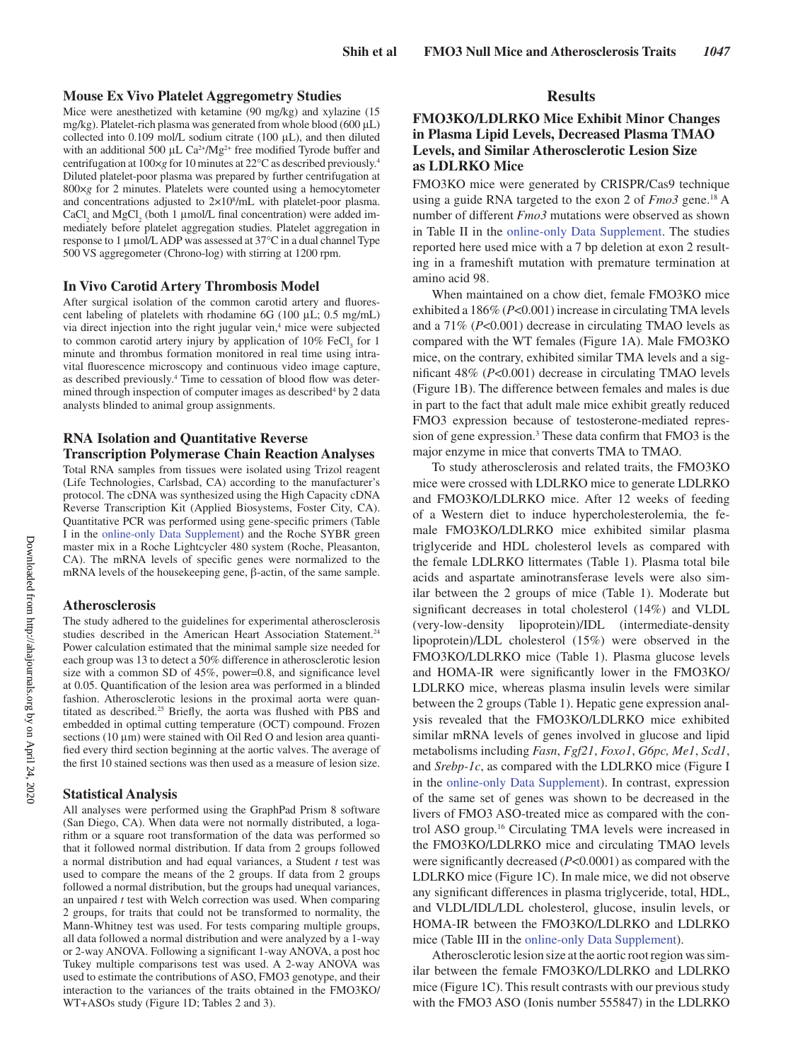### **Mouse Ex Vivo Platelet Aggregometry Studies**

Mice were anesthetized with ketamine (90 mg/kg) and xylazine (15 mg/kg). Platelet-rich plasma was generated from whole blood (600 μL) collected into 0.109 mol/L sodium citrate (100 μL), and then diluted with an additional 500  $\mu$ L Ca<sup>2+</sup>/Mg<sup>2+</sup> free modified Tyrode buffer and centrifugation at 100×*g* for 10 minutes at 22°C as described previously.4 Diluted platelet-poor plasma was prepared by further centrifugation at 800×*g* for 2 minutes. Platelets were counted using a hemocytometer and concentrations adjusted to  $2\times10^8$ /mL with platelet-poor plasma. CaCl<sub>2</sub> and MgCl<sub>2</sub> (both 1  $\mu$ mol/L final concentration) were added immediately before platelet aggregation studies. Platelet aggregation in response to 1 μmol/L ADP was assessed at 37°C in a dual channel Type 500 VS aggregometer (Chrono-log) with stirring at 1200 rpm.

### **In Vivo Carotid Artery Thrombosis Model**

After surgical isolation of the common carotid artery and fluorescent labeling of platelets with rhodamine 6G (100 μL; 0.5 mg/mL) via direct injection into the right jugular vein,<sup>4</sup> mice were subjected to common carotid artery injury by application of  $10\%$  FeCl<sub>3</sub> for 1 minute and thrombus formation monitored in real time using intravital fluorescence microscopy and continuous video image capture, as described previously.<sup>4</sup> Time to cessation of blood flow was determined through inspection of computer images as described<sup>4</sup> by 2 data analysts blinded to animal group assignments.

### **RNA Isolation and Quantitative Reverse Transcription Polymerase Chain Reaction Analyses**

Total RNA samples from tissues were isolated using Trizol reagent (Life Technologies, Carlsbad, CA) according to the manufacturer's protocol. The cDNA was synthesized using the High Capacity cDNA Reverse Transcription Kit (Applied Biosystems, Foster City, CA). Quantitative PCR was performed using gene-specific primers (Table I in the online-only Data Supplement) and the Roche SYBR green master mix in a Roche Lightcycler 480 system (Roche, Pleasanton, CA). The mRNA levels of specific genes were normalized to the mRNA levels of the housekeeping gene, β-actin, of the same sample.

### **Atherosclerosis**

The study adhered to the guidelines for experimental atherosclerosis studies described in the American Heart Association Statement.<sup>24</sup> Power calculation estimated that the minimal sample size needed for each group was 13 to detect a 50% difference in atherosclerotic lesion size with a common SD of 45%, power=0.8, and significance level at 0.05. Quantification of the lesion area was performed in a blinded fashion. Atherosclerotic lesions in the proximal aorta were quantitated as described.<sup>25</sup> Briefly, the aorta was flushed with PBS and embedded in optimal cutting temperature (OCT) compound. Frozen sections (10 μm) were stained with Oil Red O and lesion area quantified every third section beginning at the aortic valves. The average of the first 10 stained sections was then used as a measure of lesion size.

#### **Statistical Analysis**

All analyses were performed using the GraphPad Prism 8 software (San Diego, CA). When data were not normally distributed, a logarithm or a square root transformation of the data was performed so that it followed normal distribution. If data from 2 groups followed a normal distribution and had equal variances, a Student *t* test was used to compare the means of the 2 groups. If data from 2 groups followed a normal distribution, but the groups had unequal variances, an unpaired *t* test with Welch correction was used. When comparing 2 groups, for traits that could not be transformed to normality, the Mann-Whitney test was used. For tests comparing multiple groups, all data followed a normal distribution and were analyzed by a 1-way or 2-way ANOVA. Following a significant 1-way ANOVA, a post hoc Tukey multiple comparisons test was used. A 2-way ANOVA was used to estimate the contributions of ASO, FMO3 genotype, and their interaction to the variances of the traits obtained in the FMO3KO/ WT+ASOs study (Figure 1D; Tables 2 and 3).

# **Results**

# **FMO3KO/LDLRKO Mice Exhibit Minor Changes in Plasma Lipid Levels, Decreased Plasma TMAO Levels, and Similar Atherosclerotic Lesion Size as LDLRKO Mice**

FMO3KO mice were generated by CRISPR/Cas9 technique using a guide RNA targeted to the exon 2 of *Fmo3* gene.18 A number of different *Fmo3* mutations were observed as shown in Table II in the online-only Data Supplement. The studies reported here used mice with a 7 bp deletion at exon 2 resulting in a frameshift mutation with premature termination at amino acid 98.

When maintained on a chow diet, female FMO3KO mice exhibited a 186% (*P*<0.001) increase in circulating TMA levels and a 71% (*P*<0.001) decrease in circulating TMAO levels as compared with the WT females (Figure 1A). Male FMO3KO mice, on the contrary, exhibited similar TMA levels and a significant 48% (*P*<0.001) decrease in circulating TMAO levels (Figure 1B). The difference between females and males is due in part to the fact that adult male mice exhibit greatly reduced FMO3 expression because of testosterone-mediated repression of gene expression.3 These data confirm that FMO3 is the major enzyme in mice that converts TMA to TMAO.

To study atherosclerosis and related traits, the FMO3KO mice were crossed with LDLRKO mice to generate LDLRKO and FMO3KO/LDLRKO mice. After 12 weeks of feeding of a Western diet to induce hypercholesterolemia, the female FMO3KO/LDLRKO mice exhibited similar plasma triglyceride and HDL cholesterol levels as compared with the female LDLRKO littermates (Table 1). Plasma total bile acids and aspartate aminotransferase levels were also similar between the 2 groups of mice (Table 1). Moderate but significant decreases in total cholesterol (14%) and VLDL (very-low-density lipoprotein)/IDL (intermediate-density lipoprotein)/LDL cholesterol (15%) were observed in the FMO3KO/LDLRKO mice (Table 1). Plasma glucose levels and HOMA-IR were significantly lower in the FMO3KO/ LDLRKO mice, whereas plasma insulin levels were similar between the 2 groups (Table 1). Hepatic gene expression analysis revealed that the FMO3KO/LDLRKO mice exhibited similar mRNA levels of genes involved in glucose and lipid metabolisms including *Fasn*, *Fgf21*, *Foxo1*, *G6pc, Me1*, *Scd1*, and *Srebp-1c*, as compared with the LDLRKO mice (Figure I in the online-only Data Supplement). In contrast, expression of the same set of genes was shown to be decreased in the livers of FMO3 ASO-treated mice as compared with the control ASO group.16 Circulating TMA levels were increased in the FMO3KO/LDLRKO mice and circulating TMAO levels were significantly decreased (*P*<0.0001) as compared with the LDLRKO mice (Figure 1C). In male mice, we did not observe any significant differences in plasma triglyceride, total, HDL, and VLDL/IDL/LDL cholesterol, glucose, insulin levels, or HOMA-IR between the FMO3KO/LDLRKO and LDLRKO mice (Table III in the online-only Data Supplement).

Atherosclerotic lesion size at the aortic root region was similar between the female FMO3KO/LDLRKO and LDLRKO mice (Figure 1C). This result contrasts with our previous study with the FMO3 ASO (Ionis number 555847) in the LDLRKO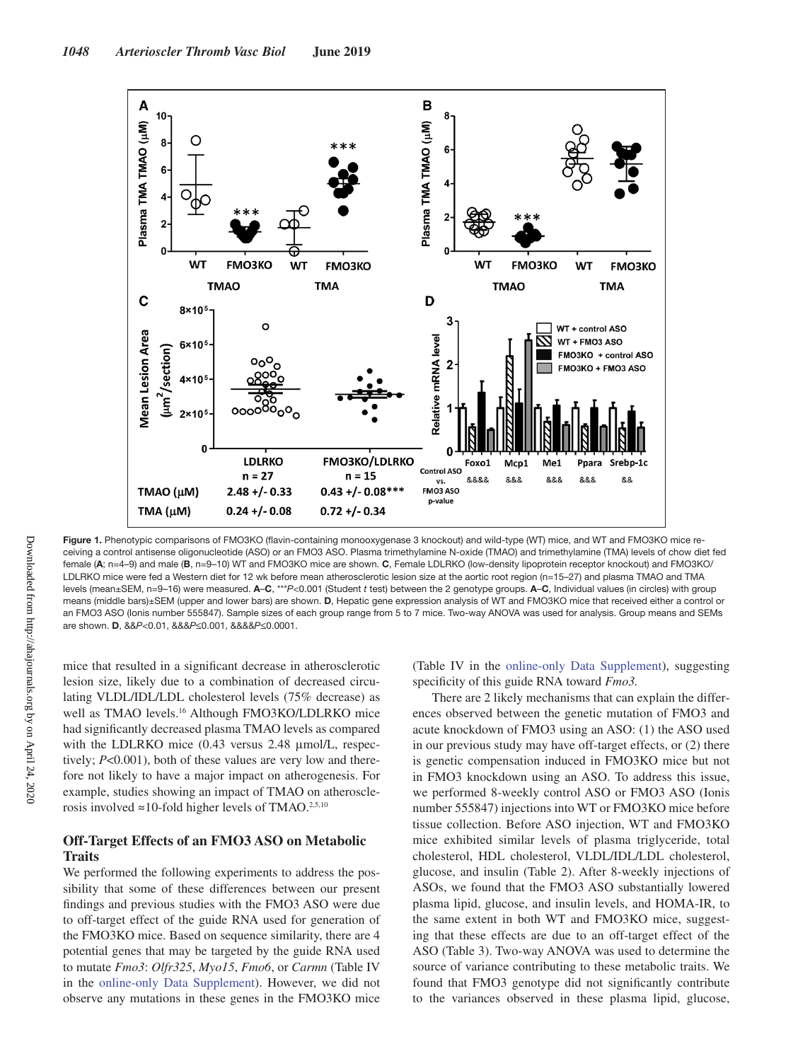

Figure 1. Phenotypic comparisons of FMO3KO (flavin-containing monooxygenase 3 knockout) and wild-type (WT) mice, and WT and FMO3KO mice receiving a control antisense oligonucleotide (ASO) or an FMO3 ASO. Plasma trimethylamine N-oxide (TMAO) and trimethylamine (TMA) levels of chow diet fed female (**A**; n=4–9) and male (**B**, n=9–10) WT and FMO3KO mice are shown. **C**, Female LDLRKO (low-density lipoprotein receptor knockout) and FMO3KO/ LDLRKO mice were fed a Western diet for 12 wk before mean atherosclerotic lesion size at the aortic root region (n=15–27) and plasma TMAO and TMA levels (mean±SEM, n=9–16) were measured. **A**–**C**, \*\*\**P*<0.001 (Student *t* test) between the 2 genotype groups. **A**–**C**, Individual values (in circles) with group means (middle bars)±SEM (upper and lower bars) are shown. **D**, Hepatic gene expression analysis of WT and FMO3KO mice that received either a control or an FMO3 ASO (Ionis number 555847). Sample sizes of each group range from 5 to 7 mice. Two-way ANOVA was used for analysis. Group means and SEMs are shown. **D**, &&*P*<0.01, &&&*P*≤0.001, &&&&*P*≤0.0001.

mice that resulted in a significant decrease in atherosclerotic lesion size, likely due to a combination of decreased circulating VLDL/IDL/LDL cholesterol levels (75% decrease) as well as TMAO levels.16 Although FMO3KO/LDLRKO mice had significantly decreased plasma TMAO levels as compared with the LDLRKO mice (0.43 versus 2.48 μmol/L, respectively; *P*<0.001), both of these values are very low and therefore not likely to have a major impact on atherogenesis. For example, studies showing an impact of TMAO on atherosclerosis involved  $\approx$ 10-fold higher levels of TMAO.<sup>2,5,10</sup>

## **Off-Target Effects of an FMO3 ASO on Metabolic Traits**

We performed the following experiments to address the possibility that some of these differences between our present findings and previous studies with the FMO3 ASO were due to off-target effect of the guide RNA used for generation of the FMO3KO mice. Based on sequence similarity, there are 4 potential genes that may be targeted by the guide RNA used to mutate *Fmo3*: *Olfr325*, *Myo15*, *Fmo6*, or *Carmn* (Table IV in the online-only Data Supplement). However, we did not observe any mutations in these genes in the FMO3KO mice

(Table IV in the online-only Data Supplement), suggesting specificity of this guide RNA toward *Fmo3.*

There are 2 likely mechanisms that can explain the differences observed between the genetic mutation of FMO3 and acute knockdown of FMO3 using an ASO: (1) the ASO used in our previous study may have off-target effects, or (2) there is genetic compensation induced in FMO3KO mice but not in FMO3 knockdown using an ASO. To address this issue, we performed 8-weekly control ASO or FMO3 ASO (Ionis number 555847) injections into WT or FMO3KO mice before tissue collection. Before ASO injection, WT and FMO3KO mice exhibited similar levels of plasma triglyceride, total cholesterol, HDL cholesterol, VLDL/IDL/LDL cholesterol, glucose, and insulin (Table 2). After 8-weekly injections of ASOs, we found that the FMO3 ASO substantially lowered plasma lipid, glucose, and insulin levels, and HOMA-IR, to the same extent in both WT and FMO3KO mice, suggesting that these effects are due to an off-target effect of the ASO (Table 3). Two-way ANOVA was used to determine the source of variance contributing to these metabolic traits. We found that FMO3 genotype did not significantly contribute to the variances observed in these plasma lipid, glucose,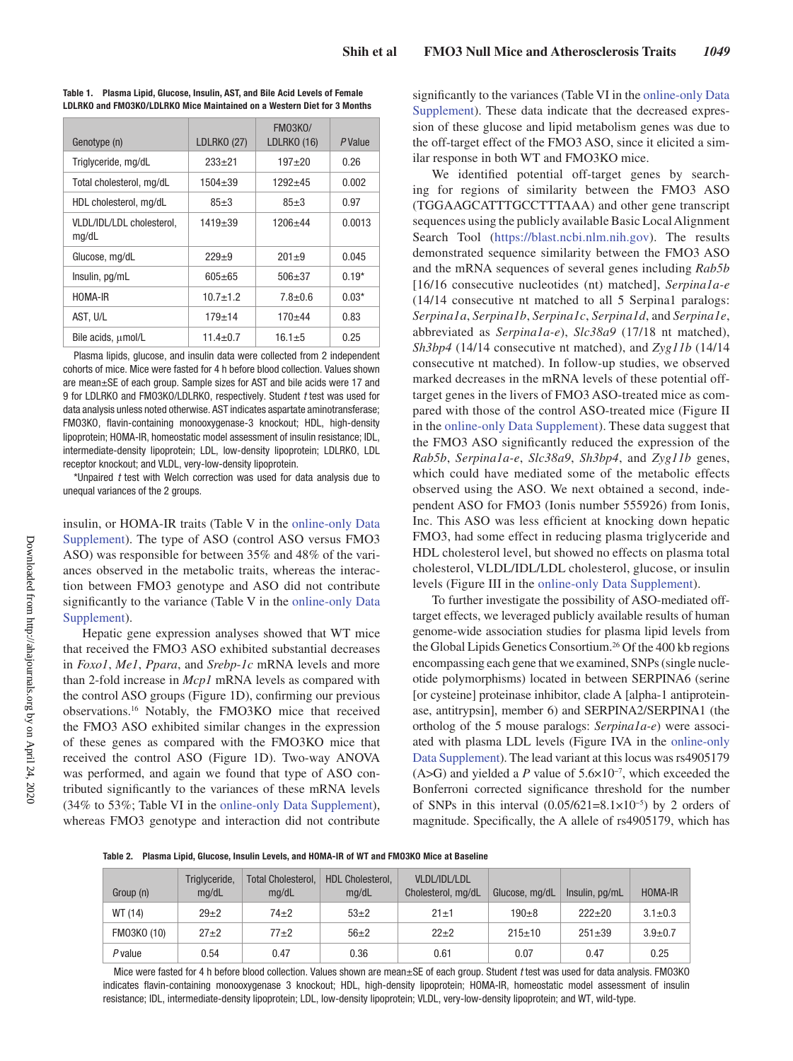| Genotype (n)                       | <b>LDLRKO (27)</b> | <b>FM03K0/</b><br>LDLRKO (16) | <i>P</i> Value |
|------------------------------------|--------------------|-------------------------------|----------------|
| Triglyceride, mg/dL                | $233+21$           | $197 + 20$                    | 0.26           |
| Total cholesterol, mg/dL           | $1504 + 39$        | $1292 + 45$                   | 0.002          |
| HDL cholesterol, mg/dL             | $85+3$             | $85+3$                        | 0.97           |
| VLDL/IDL/LDL cholesterol,<br>mg/dL | $1419 + 39$        | $1206 + 44$                   | 0.0013         |
| Glucose, mg/dL                     | $229+9$            | $201 + 9$                     | 0.045          |
| Insulin, pg/mL                     | $605 + 65$         | $506 + 37$                    | $0.19*$        |
| HOMA-IR                            | $10.7 + 1.2$       | $7.8 + 0.6$                   | $0.03*$        |
| AST, U/L                           | $179 + 14$         | $170 + 44$                    | 0.83           |
| Bile acids, umol/L                 | $11.4 \pm 0.7$     | $16.1 \pm 5$                  | 0.25           |

**Table 1. Plasma Lipid, Glucose, Insulin, AST, and Bile Acid Levels of Female LDLRKO and FMO3KO/LDLRKO Mice Maintained on a Western Diet for 3 Months**

Plasma lipids, glucose, and insulin data were collected from 2 independent cohorts of mice. Mice were fasted for 4 h before blood collection. Values shown are mean±SE of each group. Sample sizes for AST and bile acids were 17 and 9 for LDLRKO and FMO3KO/LDLRKO, respectively. Student *t* test was used for data analysis unless noted otherwise. AST indicates aspartate aminotransferase; FMO3KO, flavin-containing monooxygenase-3 knockout; HDL, high-density lipoprotein; HOMA-IR, homeostatic model assessment of insulin resistance; IDL, intermediate-density lipoprotein; LDL, low-density lipoprotein; LDLRKO, LDL receptor knockout; and VLDL, very-low-density lipoprotein.

\*Unpaired *t* test with Welch correction was used for data analysis due to unequal variances of the 2 groups.

insulin, or HOMA-IR traits (Table V in the online-only Data Supplement). The type of ASO (control ASO versus FMO3 ASO) was responsible for between 35% and 48% of the variances observed in the metabolic traits, whereas the interaction between FMO3 genotype and ASO did not contribute significantly to the variance (Table V in the online-only Data Supplement).

Hepatic gene expression analyses showed that WT mice that received the FMO3 ASO exhibited substantial decreases in *Foxo1*, *Me1*, *Ppara*, and *Srebp*-*1c* mRNA levels and more than 2-fold increase in *Mcp1* mRNA levels as compared with the control ASO groups (Figure 1D), confirming our previous observations.16 Notably, the FMO3KO mice that received the FMO3 ASO exhibited similar changes in the expression of these genes as compared with the FMO3KO mice that received the control ASO (Figure 1D). Two-way ANOVA was performed, and again we found that type of ASO contributed significantly to the variances of these mRNA levels (34% to 53%; Table VI in the online-only Data Supplement), whereas FMO3 genotype and interaction did not contribute significantly to the variances (Table VI in the online-only Data Supplement). These data indicate that the decreased expression of these glucose and lipid metabolism genes was due to the off-target effect of the FMO3 ASO, since it elicited a similar response in both WT and FMO3KO mice.

We identified potential off-target genes by searching for regions of similarity between the FMO3 ASO (TGGAAGCATTTGCCTTTAAA) and other gene transcript sequences using the publicly available Basic Local Alignment Search Tool (https://blast.ncbi.nlm.nih.gov). The results demonstrated sequence similarity between the FMO3 ASO and the mRNA sequences of several genes including *Rab5b* [16/16 consecutive nucleotides (nt) matched], *Serpina1a-e* (14/14 consecutive nt matched to all 5 Serpina1 paralogs: *Serpina1a*, *Serpina1b*, *Serpina1c*, *Serpina1d*, and *Serpina1e*, abbreviated as *Serpina1a-e*), *Slc38a9* (17/18 nt matched), *Sh3bp4* (14/14 consecutive nt matched), and *Zyg11b* (14/14 consecutive nt matched). In follow-up studies, we observed marked decreases in the mRNA levels of these potential offtarget genes in the livers of FMO3 ASO-treated mice as compared with those of the control ASO-treated mice (Figure II in the online-only Data Supplement). These data suggest that the FMO3 ASO significantly reduced the expression of the *Rab5b*, *Serpina1a-e*, *Slc38a9*, *Sh3bp4*, and *Zyg11b* genes, which could have mediated some of the metabolic effects observed using the ASO. We next obtained a second, independent ASO for FMO3 (Ionis number 555926) from Ionis, Inc. This ASO was less efficient at knocking down hepatic FMO3, had some effect in reducing plasma triglyceride and HDL cholesterol level, but showed no effects on plasma total cholesterol, VLDL/IDL/LDL cholesterol, glucose, or insulin levels (Figure III in the online-only Data Supplement).

To further investigate the possibility of ASO-mediated offtarget effects, we leveraged publicly available results of human genome-wide association studies for plasma lipid levels from the Global Lipids Genetics Consortium.<sup>26</sup> Of the 400 kb regions encompassing each gene that we examined, SNPs (single nucleotide polymorphisms) located in between SERPINA6 (serine [or cysteine] proteinase inhibitor, clade A [alpha-1 antiproteinase, antitrypsin], member 6) and SERPINA2/SERPINA1 (the ortholog of the 5 mouse paralogs: *Serpina1a-e*) were associated with plasma LDL levels (Figure IVA in the online-only Data Supplement). The lead variant at this locus was rs4905179 (A>G) and yielded a *P* value of 5.6×10−7 , which exceeded the Bonferroni corrected significance threshold for the number of SNPs in this interval  $(0.05/621=8.1\times10^{-5})$  by 2 orders of magnitude. Specifically, the A allele of rs4905179, which has

**Table 2. Plasma Lipid, Glucose, Insulin Levels, and HOMA-IR of WT and FMO3KO Mice at Baseline**

| Group (n)   | Triglyceride,<br>ma/dL | <b>Total Cholesterol.</b><br>ma/dL | <b>HDL Cholesterol.</b><br>ma/dL | VLDL/IDL/LDL<br>Cholesterol, mg/dL | Glucose, mg/dL | Insulin, pg/mL | <b>HOMA-IR</b> |
|-------------|------------------------|------------------------------------|----------------------------------|------------------------------------|----------------|----------------|----------------|
| WT (14)     | $29+2$                 | 74±2                               | $53+2$                           | $21 + 1$                           | $190 + 8$      | $222+20$       | $3.1 \pm 0.3$  |
| FM03K0 (10) | $27+2$                 | $77+2$                             | $56+2$                           | $22+2$                             | $215+10$       | $251 + 39$     | $3.9 + 0.7$    |
| P value     | 0.54                   | 0.47                               | 0.36                             | 0.61                               | 0.07           | 0.47           | 0.25           |

Mice were fasted for 4 h before blood collection. Values shown are mean±SE of each group. Student *t* test was used for data analysis. FMO3KO indicates flavin-containing monooxygenase 3 knockout; HDL, high-density lipoprotein; HOMA-IR, homeostatic model assessment of insulin resistance; IDL, intermediate-density lipoprotein; LDL, low-density lipoprotein; VLDL, very-low-density lipoprotein; and WT, wild-type.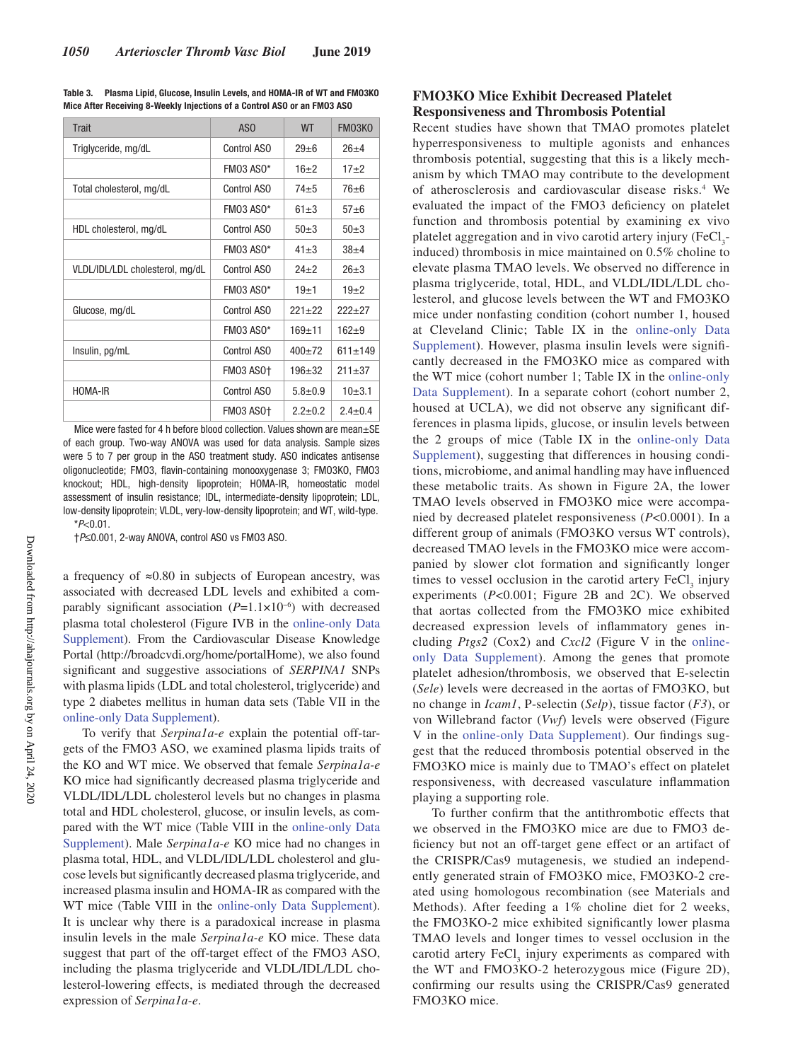| <b>Trait</b>                    | AS <sub>0</sub>  | <b>WT</b>   | <b>FM03K0</b> |
|---------------------------------|------------------|-------------|---------------|
| Triglyceride, mg/dL             | Control ASO      | $29 + 6$    | $26+4$        |
|                                 | FM03 AS0*        | $16+2$      | $17+2$        |
| Total cholesterol, mg/dL        | Control ASO      | $74 + 5$    | $76 + 6$      |
|                                 | <b>FM03 AS0*</b> | $61 + 3$    | $57 + 6$      |
| HDL cholesterol, mg/dL          | Control ASO      | $50+3$      | $50\pm3$      |
|                                 | FM03 AS0*        | $41 + 3$    | $38 + 4$      |
| VLDL/IDL/LDL cholesterol, mg/dL | Control ASO      | $24 + 2$    | $26+3$        |
|                                 | <b>FM03 AS0*</b> | $19 + 1$    | $19+2$        |
| Glucose, mg/dL                  | Control ASO      | $221+22$    | $222 + 27$    |
|                                 | <b>FM03 AS0*</b> | $169 + 11$  | $162 + 9$     |
| Insulin, pg/mL                  | Control ASO      | $400+72$    | $611 + 149$   |
|                                 | <b>FM03 AS0+</b> | $196 + 32$  | $211 + 37$    |
| HOMA-IR                         | Control ASO      | $5.8 + 0.9$ | $10+3.1$      |
|                                 | FM03 AS0+        | $2.2 + 0.2$ | $2.4 + 0.4$   |

**Table 3. Plasma Lipid, Glucose, Insulin Levels, and HOMA-IR of WT and FMO3KO Mice After Receiving 8-Weekly Injections of a Control ASO or an FMO3 ASO**

Mice were fasted for 4 h before blood collection. Values shown are mean+SE of each group. Two-way ANOVA was used for data analysis. Sample sizes were 5 to 7 per group in the ASO treatment study. ASO indicates antisense oligonucleotide; FMO3, flavin-containing monooxygenase 3; FMO3KO, FMO3 knockout; HDL, high-density lipoprotein; HOMA-IR, homeostatic model assessment of insulin resistance; IDL, intermediate-density lipoprotein; LDL, low-density lipoprotein; VLDL, very-low-density lipoprotein; and WT, wild-type. \**P*<0.01.

†*P*≤0.001, 2-way ANOVA, control ASO vs FMO3 ASO.

a frequency of ≈0.80 in subjects of European ancestry, was associated with decreased LDL levels and exhibited a comparably significant association (*P*=1.1×10−6 ) with decreased plasma total cholesterol (Figure IVB in the online-only Data Supplement). From the Cardiovascular Disease Knowledge Portal (http://broadcvdi.org/home/portalHome), we also found significant and suggestive associations of *SERPINA1* SNPs with plasma lipids (LDL and total cholesterol, triglyceride) and type 2 diabetes mellitus in human data sets (Table VII in the online-only Data Supplement).

To verify that *Serpina1a-e* explain the potential off-targets of the FMO3 ASO, we examined plasma lipids traits of the KO and WT mice. We observed that female *Serpina1a-e* KO mice had significantly decreased plasma triglyceride and VLDL/IDL/LDL cholesterol levels but no changes in plasma total and HDL cholesterol, glucose, or insulin levels, as compared with the WT mice (Table VIII in the online-only Data Supplement). Male *Serpina1a-e* KO mice had no changes in plasma total, HDL, and VLDL/IDL/LDL cholesterol and glucose levels but significantly decreased plasma triglyceride, and increased plasma insulin and HOMA-IR as compared with the WT mice (Table VIII in the online-only Data Supplement). It is unclear why there is a paradoxical increase in plasma insulin levels in the male *Serpina1a-e* KO mice. These data suggest that part of the off-target effect of the FMO3 ASO, including the plasma triglyceride and VLDL/IDL/LDL cholesterol-lowering effects, is mediated through the decreased expression of *Serpina1a-e*.

# **FMO3KO Mice Exhibit Decreased Platelet Responsiveness and Thrombosis Potential**

Recent studies have shown that TMAO promotes platelet hyperresponsiveness to multiple agonists and enhances thrombosis potential, suggesting that this is a likely mechanism by which TMAO may contribute to the development of atherosclerosis and cardiovascular disease risks.<sup>4</sup> We evaluated the impact of the FMO3 deficiency on platelet function and thrombosis potential by examining ex vivo platelet aggregation and in vivo carotid artery injury (FeCl<sub>3</sub>induced) thrombosis in mice maintained on 0.5% choline to elevate plasma TMAO levels. We observed no difference in plasma triglyceride, total, HDL, and VLDL/IDL/LDL cholesterol, and glucose levels between the WT and FMO3KO mice under nonfasting condition (cohort number 1, housed at Cleveland Clinic; Table IX in the online-only Data Supplement). However, plasma insulin levels were significantly decreased in the FMO3KO mice as compared with the WT mice (cohort number 1; Table IX in the online-only Data Supplement). In a separate cohort (cohort number 2, housed at UCLA), we did not observe any significant differences in plasma lipids, glucose, or insulin levels between the 2 groups of mice (Table IX in the online-only Data Supplement), suggesting that differences in housing conditions, microbiome, and animal handling may have influenced these metabolic traits. As shown in Figure 2A, the lower TMAO levels observed in FMO3KO mice were accompanied by decreased platelet responsiveness (*P*<0.0001). In a different group of animals (FMO3KO versus WT controls), decreased TMAO levels in the FMO3KO mice were accompanied by slower clot formation and significantly longer times to vessel occlusion in the carotid artery  $\text{FeCl}_3$  injury experiments (*P*<0.001; Figure 2B and 2C). We observed that aortas collected from the FMO3KO mice exhibited decreased expression levels of inflammatory genes including *Ptgs2* (Cox2) and *Cxcl2* (Figure V in the onlineonly Data Supplement). Among the genes that promote platelet adhesion/thrombosis, we observed that E-selectin (*Sele*) levels were decreased in the aortas of FMO3KO, but no change in *Icam1*, P-selectin (*Selp*), tissue factor (*F3*), or von Willebrand factor (*Vwf*) levels were observed (Figure V in the online-only Data Supplement). Our findings suggest that the reduced thrombosis potential observed in the FMO3KO mice is mainly due to TMAO's effect on platelet responsiveness, with decreased vasculature inflammation playing a supporting role.

To further confirm that the antithrombotic effects that we observed in the FMO3KO mice are due to FMO3 deficiency but not an off-target gene effect or an artifact of the CRISPR/Cas9 mutagenesis, we studied an independently generated strain of FMO3KO mice, FMO3KO-2 created using homologous recombination (see Materials and Methods). After feeding a 1% choline diet for 2 weeks, the FMO3KO-2 mice exhibited significantly lower plasma TMAO levels and longer times to vessel occlusion in the carotid artery  $\text{FeCl}_3$  injury experiments as compared with the WT and FMO3KO-2 heterozygous mice (Figure 2D), confirming our results using the CRISPR/Cas9 generated FMO3KO mice.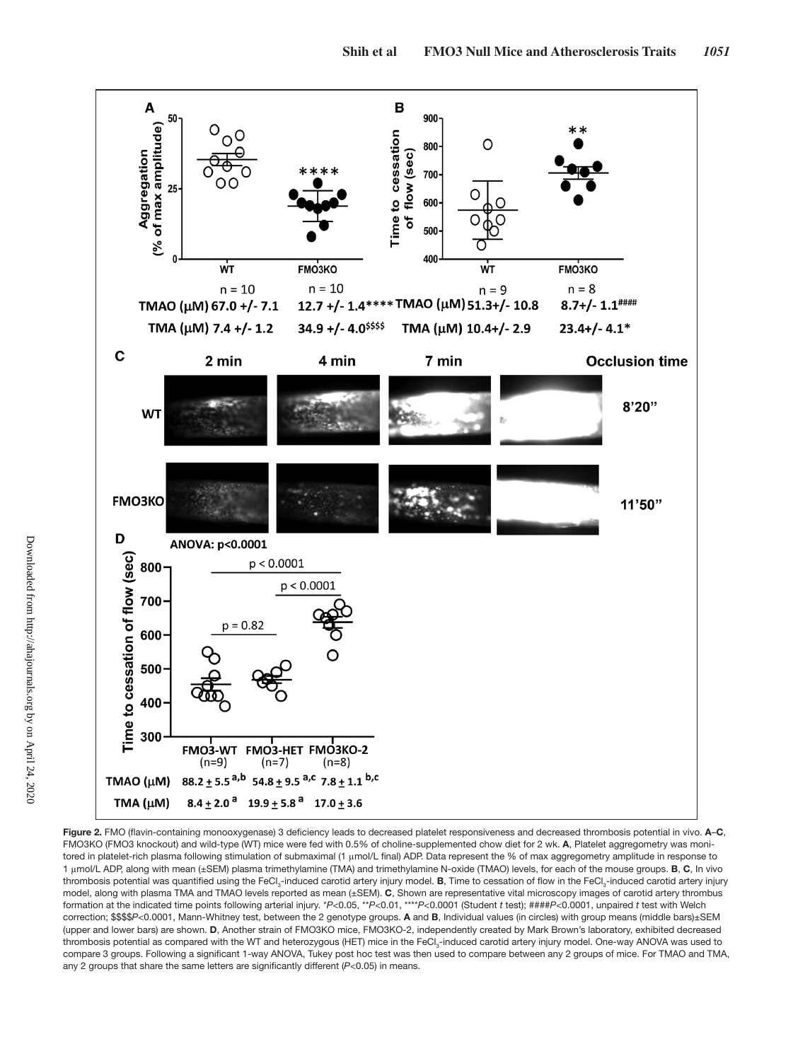

**Figure 2.** FMO (flavin-containing monooxygenase) 3 deficiency leads to decreased platelet responsiveness and decreased thrombosis potential in vivo. **A**–**C**, FMO3KO (FMO3 knockout) and wild-type (WT) mice were fed with 0.5% of choline-supplemented chow diet for 2 wk. **A**, Platelet aggregometry was monitored in platelet-rich plasma following stimulation of submaximal (1 μmol/L final) ADP. Data represent the % of max aggregometry amplitude in response to 1 μmol/L ADP, along with mean (±SEM) plasma trimethylamine (TMA) and trimethylamine N-oxide (TMAO) levels, for each of the mouse groups. **B**, **C**, In vivo thrombosis potential was quantified using the FeCl<sub>3</sub>-induced carotid artery injury model. **B**, Time to cessation of flow in the FeCl<sub>3</sub>-induced carotid artery injury model, along with plasma TMA and TMAO levels reported as mean (±SEM). **C**, Shown are representative vital microscopy images of carotid artery thrombus formation at the indicated time points following arterial injury. \**P*<0.05, \*\**P*<0.01, \*\*\*\**P*<0.0001 (Student *t* test); ####*P*<0.0001, unpaired *t* test with Welch correction; \$\$\$\$*P*<0.0001, Mann-Whitney test, between the 2 genotype groups. **A** and **B**, Individual values (in circles) with group means (middle bars)±SEM (upper and lower bars) are shown. **D**, Another strain of FMO3KO mice, FMO3KO-2, independently created by Mark Brown's laboratory, exhibited decreased thrombosis potential as compared with the WT and heterozygous (HET) mice in the FeCl<sub>3</sub>-induced carotid artery injury model. One-way ANOVA was used to compare 3 groups. Following a significant 1-way ANOVA, Tukey post hoc test was then used to compare between any 2 groups of mice. For TMAO and TMA, any 2 groups that share the same letters are significantly different (*P*<0.05) in means.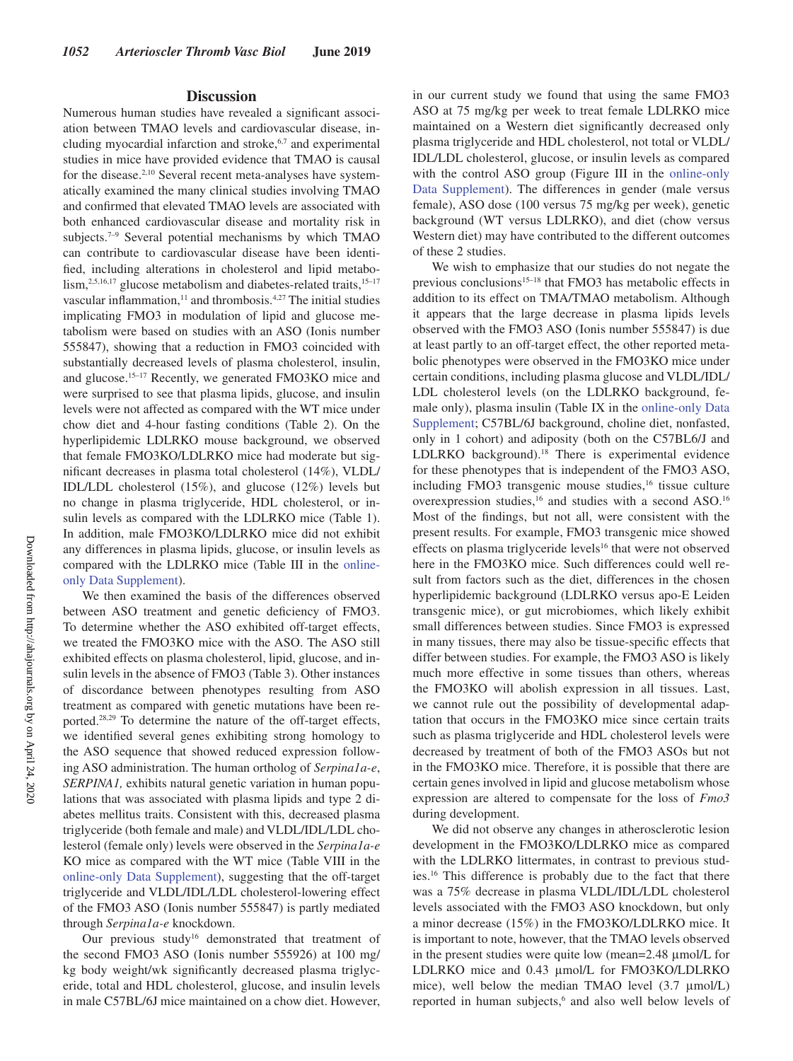### **Discussion**

Numerous human studies have revealed a significant association between TMAO levels and cardiovascular disease, including myocardial infarction and stroke,<sup>6,7</sup> and experimental studies in mice have provided evidence that TMAO is causal for the disease.<sup>2,10</sup> Several recent meta-analyses have systematically examined the many clinical studies involving TMAO and confirmed that elevated TMAO levels are associated with both enhanced cardiovascular disease and mortality risk in subjects.<sup>7–9</sup> Several potential mechanisms by which TMAO can contribute to cardiovascular disease have been identified, including alterations in cholesterol and lipid metabolism,<sup>2,5,16,17</sup> glucose metabolism and diabetes-related traits,<sup>15-17</sup> vascular inflammation, $11$  and thrombosis. $4,27$  The initial studies implicating FMO3 in modulation of lipid and glucose metabolism were based on studies with an ASO (Ionis number 555847), showing that a reduction in FMO3 coincided with substantially decreased levels of plasma cholesterol, insulin, and glucose.15–17 Recently, we generated FMO3KO mice and were surprised to see that plasma lipids, glucose, and insulin levels were not affected as compared with the WT mice under chow diet and 4-hour fasting conditions (Table 2). On the hyperlipidemic LDLRKO mouse background, we observed that female FMO3KO/LDLRKO mice had moderate but significant decreases in plasma total cholesterol (14%), VLDL/ IDL/LDL cholesterol (15%), and glucose (12%) levels but no change in plasma triglyceride, HDL cholesterol, or insulin levels as compared with the LDLRKO mice (Table 1). In addition, male FMO3KO/LDLRKO mice did not exhibit any differences in plasma lipids, glucose, or insulin levels as compared with the LDLRKO mice (Table III in the onlineonly Data Supplement).

We then examined the basis of the differences observed between ASO treatment and genetic deficiency of FMO3. To determine whether the ASO exhibited off-target effects, we treated the FMO3KO mice with the ASO. The ASO still exhibited effects on plasma cholesterol, lipid, glucose, and insulin levels in the absence of FMO3 (Table 3). Other instances of discordance between phenotypes resulting from ASO treatment as compared with genetic mutations have been reported.28,29 To determine the nature of the off-target effects, we identified several genes exhibiting strong homology to the ASO sequence that showed reduced expression following ASO administration. The human ortholog of *Serpina1a-e*, *SERPINA1,* exhibits natural genetic variation in human populations that was associated with plasma lipids and type 2 diabetes mellitus traits. Consistent with this, decreased plasma triglyceride (both female and male) and VLDL/IDL/LDL cholesterol (female only) levels were observed in the *Serpina1a-e* KO mice as compared with the WT mice (Table VIII in the online-only Data Supplement), suggesting that the off-target triglyceride and VLDL/IDL/LDL cholesterol-lowering effect of the FMO3 ASO (Ionis number 555847) is partly mediated through *Serpina1a-e* knockdown.

Our previous study<sup>16</sup> demonstrated that treatment of the second FMO3 ASO (Ionis number 555926) at 100 mg/ kg body weight/wk significantly decreased plasma triglyceride, total and HDL cholesterol, glucose, and insulin levels in male C57BL/6J mice maintained on a chow diet. However,

in our current study we found that using the same FMO3 ASO at 75 mg/kg per week to treat female LDLRKO mice maintained on a Western diet significantly decreased only plasma triglyceride and HDL cholesterol, not total or VLDL/ IDL/LDL cholesterol, glucose, or insulin levels as compared with the control ASO group (Figure III in the online-only Data Supplement). The differences in gender (male versus female), ASO dose (100 versus 75 mg/kg per week), genetic background (WT versus LDLRKO), and diet (chow versus Western diet) may have contributed to the different outcomes of these 2 studies.

We wish to emphasize that our studies do not negate the previous conclusions<sup>15–18</sup> that FMO3 has metabolic effects in addition to its effect on TMA/TMAO metabolism. Although it appears that the large decrease in plasma lipids levels observed with the FMO3 ASO (Ionis number 555847) is due at least partly to an off-target effect, the other reported metabolic phenotypes were observed in the FMO3KO mice under certain conditions, including plasma glucose and VLDL/IDL/ LDL cholesterol levels (on the LDLRKO background, female only), plasma insulin (Table IX in the online-only Data Supplement; C57BL/6J background, choline diet, nonfasted, only in 1 cohort) and adiposity (both on the C57BL6/J and LDLRKO background).<sup>18</sup> There is experimental evidence for these phenotypes that is independent of the FMO3 ASO, including FMO3 transgenic mouse studies,<sup>16</sup> tissue culture overexpression studies,<sup>16</sup> and studies with a second ASO.<sup>16</sup> Most of the findings, but not all, were consistent with the present results. For example, FMO3 transgenic mice showed effects on plasma triglyceride levels<sup>16</sup> that were not observed here in the FMO3KO mice. Such differences could well result from factors such as the diet, differences in the chosen hyperlipidemic background (LDLRKO versus apo-E Leiden transgenic mice), or gut microbiomes, which likely exhibit small differences between studies. Since FMO3 is expressed in many tissues, there may also be tissue-specific effects that differ between studies. For example, the FMO3 ASO is likely much more effective in some tissues than others, whereas the FMO3KO will abolish expression in all tissues. Last, we cannot rule out the possibility of developmental adaptation that occurs in the FMO3KO mice since certain traits such as plasma triglyceride and HDL cholesterol levels were decreased by treatment of both of the FMO3 ASOs but not in the FMO3KO mice. Therefore, it is possible that there are certain genes involved in lipid and glucose metabolism whose expression are altered to compensate for the loss of *Fmo3* during development.

We did not observe any changes in atherosclerotic lesion development in the FMO3KO/LDLRKO mice as compared with the LDLRKO littermates, in contrast to previous studies.16 This difference is probably due to the fact that there was a 75% decrease in plasma VLDL/IDL/LDL cholesterol levels associated with the FMO3 ASO knockdown, but only a minor decrease (15%) in the FMO3KO/LDLRKO mice. It is important to note, however, that the TMAO levels observed in the present studies were quite low (mean=2.48 μmol/L for LDLRKO mice and 0.43 μmol/L for FMO3KO/LDLRKO mice), well below the median TMAO level (3.7 μmol/L) reported in human subjects,<sup>6</sup> and also well below levels of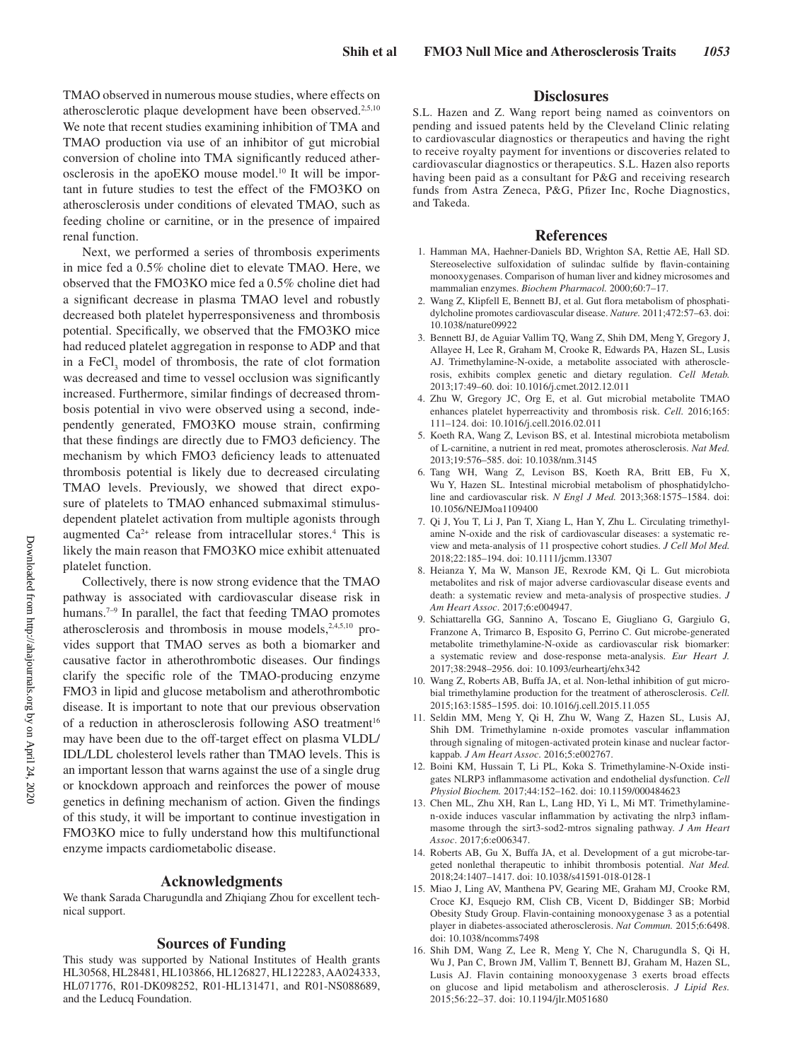TMAO observed in numerous mouse studies, where effects on atherosclerotic plaque development have been observed.<sup>2,5,10</sup> We note that recent studies examining inhibition of TMA and TMAO production via use of an inhibitor of gut microbial conversion of choline into TMA significantly reduced atherosclerosis in the apoEKO mouse model.10 It will be important in future studies to test the effect of the FMO3KO on atherosclerosis under conditions of elevated TMAO, such as feeding choline or carnitine, or in the presence of impaired renal function.

Next, we performed a series of thrombosis experiments in mice fed a 0.5% choline diet to elevate TMAO. Here, we observed that the FMO3KO mice fed a 0.5% choline diet had a significant decrease in plasma TMAO level and robustly decreased both platelet hyperresponsiveness and thrombosis potential. Specifically, we observed that the FMO3KO mice had reduced platelet aggregation in response to ADP and that in a  $FeCl<sub>3</sub>$  model of thrombosis, the rate of clot formation was decreased and time to vessel occlusion was significantly increased. Furthermore, similar findings of decreased thrombosis potential in vivo were observed using a second, independently generated, FMO3KO mouse strain, confirming that these findings are directly due to FMO3 deficiency. The mechanism by which FMO3 deficiency leads to attenuated thrombosis potential is likely due to decreased circulating TMAO levels. Previously, we showed that direct exposure of platelets to TMAO enhanced submaximal stimulusdependent platelet activation from multiple agonists through augmented  $Ca^{2+}$  release from intracellular stores.<sup>4</sup> This is likely the main reason that FMO3KO mice exhibit attenuated platelet function.

Collectively, there is now strong evidence that the TMAO pathway is associated with cardiovascular disease risk in humans.<sup>7–9</sup> In parallel, the fact that feeding TMAO promotes atherosclerosis and thrombosis in mouse models, $2,4,5,10$  provides support that TMAO serves as both a biomarker and causative factor in atherothrombotic diseases. Our findings clarify the specific role of the TMAO-producing enzyme FMO3 in lipid and glucose metabolism and atherothrombotic disease. It is important to note that our previous observation of a reduction in atherosclerosis following ASO treatment<sup>16</sup> may have been due to the off-target effect on plasma VLDL/ IDL/LDL cholesterol levels rather than TMAO levels. This is an important lesson that warns against the use of a single drug or knockdown approach and reinforces the power of mouse genetics in defining mechanism of action. Given the findings of this study, it will be important to continue investigation in FMO3KO mice to fully understand how this multifunctional enzyme impacts cardiometabolic disease.

#### **Acknowledgments**

We thank Sarada Charugundla and Zhiqiang Zhou for excellent technical support.

### **Sources of Funding**

This study was supported by National Institutes of Health grants HL30568, HL28481, HL103866, HL126827, HL122283, AA024333, HL071776, R01-DK098252, R01-HL131471, and R01-NS088689, and the Leducq Foundation.

### **Disclosures**

S.L. Hazen and Z. Wang report being named as coinventors on pending and issued patents held by the Cleveland Clinic relating to cardiovascular diagnostics or therapeutics and having the right to receive royalty payment for inventions or discoveries related to cardiovascular diagnostics or therapeutics. S.L. Hazen also reports having been paid as a consultant for P&G and receiving research funds from Astra Zeneca, P&G, Pfizer Inc, Roche Diagnostics, and Takeda.

#### **References**

- 1. Hamman MA, Haehner-Daniels BD, Wrighton SA, Rettie AE, Hall SD. Stereoselective sulfoxidation of sulindac sulfide by flavin-containing monooxygenases. Comparison of human liver and kidney microsomes and mammalian enzymes. *Biochem Pharmacol.* 2000;60:7–17.
- 2. Wang Z, Klipfell E, Bennett BJ, et al. Gut flora metabolism of phosphatidylcholine promotes cardiovascular disease. *Nature.* 2011;472:57–63. doi: 10.1038/nature09922
- 3. Bennett BJ, de Aguiar Vallim TQ, Wang Z, Shih DM, Meng Y, Gregory J, Allayee H, Lee R, Graham M, Crooke R, Edwards PA, Hazen SL, Lusis AJ. Trimethylamine-N-oxide, a metabolite associated with atherosclerosis, exhibits complex genetic and dietary regulation. *Cell Metab.* 2013;17:49–60. doi: 10.1016/j.cmet.2012.12.011
- 4. Zhu W, Gregory JC, Org E, et al. Gut microbial metabolite TMAO enhances platelet hyperreactivity and thrombosis risk. *Cell.* 2016;165: 111–124. doi: 10.1016/j.cell.2016.02.011
- 5. Koeth RA, Wang Z, Levison BS, et al. Intestinal microbiota metabolism of L-carnitine, a nutrient in red meat, promotes atherosclerosis. *Nat Med.* 2013;19:576–585. doi: 10.1038/nm.3145
- 6. Tang WH, Wang Z, Levison BS, Koeth RA, Britt EB, Fu X, Wu Y, Hazen SL. Intestinal microbial metabolism of phosphatidylcholine and cardiovascular risk. *N Engl J Med.* 2013;368:1575–1584. doi: 10.1056/NEJMoa1109400
- 7. Qi J, You T, Li J, Pan T, Xiang L, Han Y, Zhu L. Circulating trimethylamine N-oxide and the risk of cardiovascular diseases: a systematic review and meta-analysis of 11 prospective cohort studies. *J Cell Mol Med.* 2018;22:185–194. doi: 10.1111/jcmm.13307
- 8. Heianza Y, Ma W, Manson JE, Rexrode KM, Qi L. Gut microbiota metabolites and risk of major adverse cardiovascular disease events and death: a systematic review and meta-analysis of prospective studies. *J Am Heart Assoc*. 2017;6:e004947.
- 9. Schiattarella GG, Sannino A, Toscano E, Giugliano G, Gargiulo G, Franzone A, Trimarco B, Esposito G, Perrino C. Gut microbe-generated metabolite trimethylamine-N-oxide as cardiovascular risk biomarker: a systematic review and dose-response meta-analysis. *Eur Heart J.* 2017;38:2948–2956. doi: 10.1093/eurheartj/ehx342
- 10. Wang Z, Roberts AB, Buffa JA, et al. Non-lethal inhibition of gut microbial trimethylamine production for the treatment of atherosclerosis. *Cell.* 2015;163:1585–1595. doi: 10.1016/j.cell.2015.11.055
- 11. Seldin MM, Meng Y, Qi H, Zhu W, Wang Z, Hazen SL, Lusis AJ, Shih DM. Trimethylamine n-oxide promotes vascular inflammation through signaling of mitogen-activated protein kinase and nuclear factorkappab. *J Am Heart Assoc*. 2016;5:e002767.
- 12. Boini KM, Hussain T, Li PL, Koka S. Trimethylamine-N-Oxide instigates NLRP3 inflammasome activation and endothelial dysfunction. *Cell Physiol Biochem.* 2017;44:152–162. doi: 10.1159/000484623
- 13. Chen ML, Zhu XH, Ran L, Lang HD, Yi L, Mi MT. Trimethylaminen-oxide induces vascular inflammation by activating the nlrp3 inflammasome through the sirt3-sod2-mtros signaling pathway. *J Am Heart Assoc*. 2017;6:e006347.
- 14. Roberts AB, Gu X, Buffa JA, et al. Development of a gut microbe-targeted nonlethal therapeutic to inhibit thrombosis potential. *Nat Med.* 2018;24:1407–1417. doi: 10.1038/s41591-018-0128-1
- 15. Miao J, Ling AV, Manthena PV, Gearing ME, Graham MJ, Crooke RM, Croce KJ, Esquejo RM, Clish CB, Vicent D, Biddinger SB; Morbid Obesity Study Group. Flavin-containing monooxygenase 3 as a potential player in diabetes-associated atherosclerosis. *Nat Commun.* 2015;6:6498. doi: 10.1038/ncomms7498
- 16. Shih DM, Wang Z, Lee R, Meng Y, Che N, Charugundla S, Qi H, Wu J, Pan C, Brown JM, Vallim T, Bennett BJ, Graham M, Hazen SL, Lusis AJ. Flavin containing monooxygenase 3 exerts broad effects on glucose and lipid metabolism and atherosclerosis. *J Lipid Res.* 2015;56:22–37. doi: 10.1194/jlr.M051680